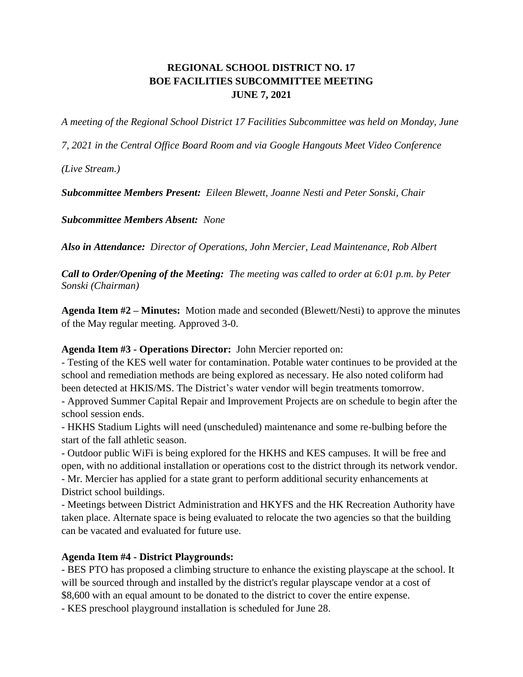# **REGIONAL SCHOOL DISTRICT NO. 17 BOE FACILITIES SUBCOMMITTEE MEETING JUNE 7, 2021**

*A meeting of the Regional School District 17 Facilities Subcommittee was held on Monday, June* 

*7, 2021 in the Central Office Board Room and via Google Hangouts Meet Video Conference* 

*(Live Stream.)*

*Subcommittee Members Present: Eileen Blewett, Joanne Nesti and Peter Sonski, Chair* 

*Subcommittee Members Absent: None*

*Also in Attendance: Director of Operations, John Mercier, Lead Maintenance, Rob Albert*

*Call to Order/Opening of the Meeting: The meeting was called to order at 6:01 p.m. by Peter Sonski (Chairman)*

**Agenda Item #2 – Minutes:** Motion made and seconded (Blewett/Nesti) to approve the minutes of the May regular meeting. Approved 3-0.

### **Agenda Item #3 - Operations Director:** John Mercier reported on:

- Testing of the KES well water for contamination. Potable water continues to be provided at the school and remediation methods are being explored as necessary. He also noted coliform had been detected at HKIS/MS. The District's water vendor will begin treatments tomorrow.

- Approved Summer Capital Repair and Improvement Projects are on schedule to begin after the school session ends.

- HKHS Stadium Lights will need (unscheduled) maintenance and some re-bulbing before the start of the fall athletic season.

- Outdoor public WiFi is being explored for the HKHS and KES campuses. It will be free and open, with no additional installation or operations cost to the district through its network vendor. - Mr. Mercier has applied for a state grant to perform additional security enhancements at District school buildings.

- Meetings between District Administration and HKYFS and the HK Recreation Authority have taken place. Alternate space is being evaluated to relocate the two agencies so that the building can be vacated and evaluated for future use.

# **Agenda Item #4 - District Playgrounds:**

- BES PTO has proposed a climbing structure to enhance the existing playscape at the school. It will be sourced through and installed by the district's regular playscape vendor at a cost of \$8,600 with an equal amount to be donated to the district to cover the entire expense.

- KES preschool playground installation is scheduled for June 28.